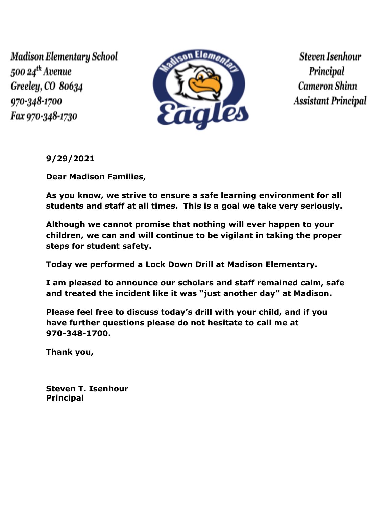Madison Elementary School 500 24<sup>th</sup> Avenue Greeley, CO 80634 970-348-1700 Fax 970-348-1730



**Steven Isenhour** Principal **Cameron Shinn Assistant Principal** 

**9/29/2021**

**Dear Madison Families,**

**As you know, we strive to ensure a safe learning environment for all students and staff at all times. This is a goal we take very seriously.**

**Although we cannot promise that nothing will ever happen to your children, we can and will continue to be vigilant in taking the proper steps for student safety.**

**Today we performed a Lock Down Drill at Madison Elementary.**

**I am pleased to announce our scholars and staff remained calm, safe and treated the incident like it was "just another day" at Madison.**

**Please feel free to discuss today's drill with your child, and if you have further questions please do not hesitate to call me at 970-348-1700.**

**Thank you,**

**Steven T. Isenhour Principal**